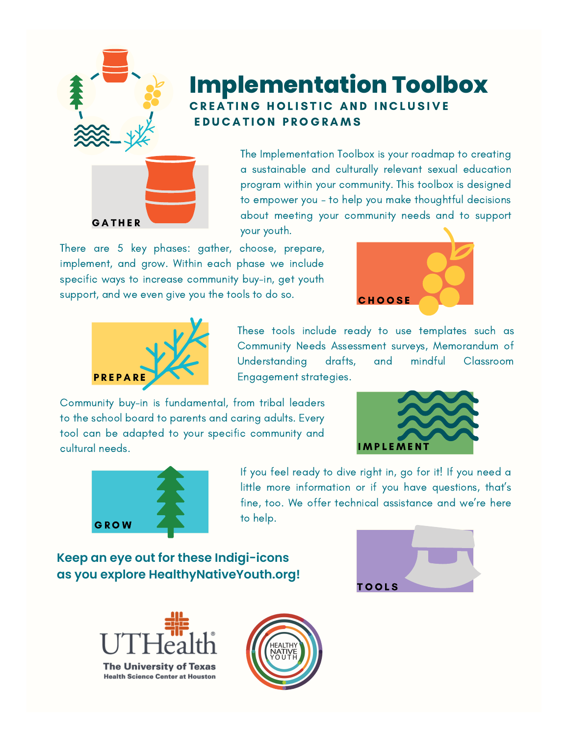

## **Implementation Toolbox** CREATING HOLISTIC AND INCLUSIVE E DUCATION PROGRAMS

The Implementation Toolbox is your roadmap to creating a sustainable and culturally relevant sexual education program within your community. This toolbox is designed to empower you – to help you make thoughtful decisions about meeting your community needs and to support your youth.

There are 5 key phases: gather, choose, prepare, implement, and grow. Within each phase we include specific ways to increase community buy-in, get youth support, and we even give you the tools to do so.





These tools include ready to use templates such as Community Needs Assessment surveys, Memorandum of Understanding drafts, and mindful Classroom Engagement strategies.

Community buy-in is fundamental, from tribal leaders to the school board to parents and caring adults. Every tool can be adapted to your specific community and cultural needs.





If you feel ready to dive right in, go for it! If you need a little more information or if you have questions, that's fine, too. We offer technical assistance and we're here to help.

**Keep an eye out for these Indigi-icons as you explore HealthyNativeYouth.org!**